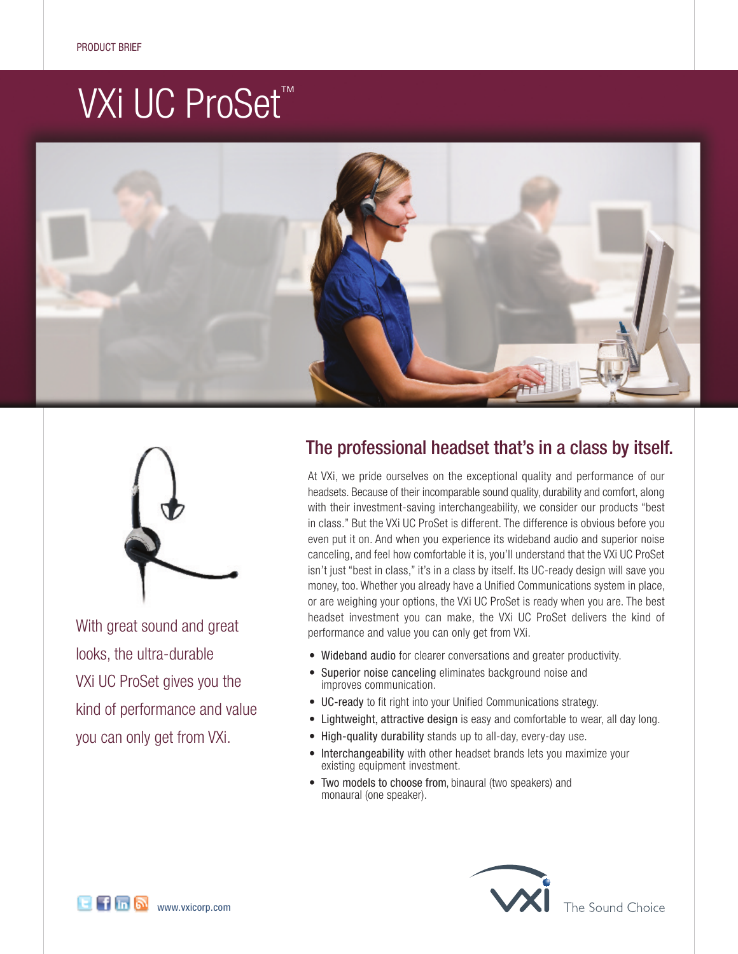# VXi UC ProSet<sup>™</sup>





With great sound and great looks, the ultra-durable VXi UC ProSet gives you the kind of performance and value you can only get from VXi.

## The professional headset that's in a class by itself.

At VXi, we pride ourselves on the exceptional quality and performance of our headsets. Because of their incomparable sound quality, durability and comfort, along with their investment-saving interchangeability, we consider our products "best in class." But the VXi UC ProSet is different. The difference is obvious before you even put it on. And when you experience its wideband audio and superior noise canceling, and feel how comfortable it is, you'll understand that the VXi UC ProSet isn't just "best in class," it's in a class by itself. Its UC-ready design will save you money, too. Whether you already have a Unified Communications system in place, or are weighing your options, the VXi UC ProSet is ready when you are. The best headset investment you can make, the VXi UC ProSet delivers the kind of performance and value you can only get from VXi.

- Wideband audio for clearer conversations and greater productivity.
- Superior noise canceling eliminates background noise and improves communication.
- UC-ready to fit right into your Unified Communications strategy.
- Lightweight, attractive design is easy and comfortable to wear, all day long.
- High-quality durability stands up to all-day, every-day use.
- Interchangeability with other headset brands lets you maximize your existing equipment investment.
- Two models to choose from, binaural (two speakers) and monaural (one speaker).



The Sound Choice

**E F in M** www.vxicorp.com